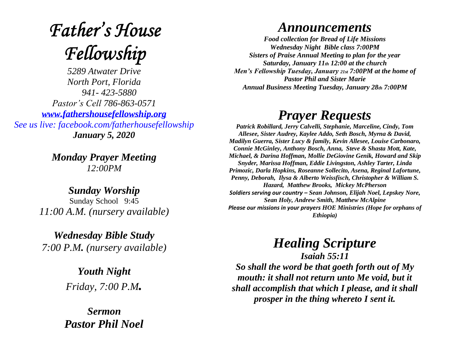# **Father's House** Fellowship

*5289 Atwater Drive North Port, Florida 941- 423-5880 Pastor's Cell 786-863-0571 [www.fathershousefellowship.org](http://www.fathershousefellowship.org/) See us live: facebook.com/fatherhousefellowship January 5, 2020*

> *Monday Prayer Meeting 12:00PM*

*Sunday Worship* Sunday School 9:45 *11:00 A.M. (nursery available)*

*Wednesday Bible Study 7:00 P.M. (nursery available)*

> *Youth Night Friday, 7:00 P.M.*

*Sermon Pastor Phil Noel*

#### *Announcements*

*Food collection for Bread of Life Missions Wednesday Night Bible class 7:00PM Sisters of Praise Annual Meeting to plan for the year Saturday, January 11th 12:00 at the church Men's Fellowship Tuesday, January 21st 7:00PM at the home of Pastor Phil and Sister Marie Annual Business Meeting Tuesday, January 28th 7:00PM*

### *Prayer Requests*

*Patrick Robillard, Jerry Calvelli, Stephanie, Marceline, Cindy, Tom Allesee, Sister Audrey, Kaylee Addo, Seth Bosch, Myrna & David, Madilyn Guerra, Sister Lucy & family, Kevin Allesee, Louise Carbonaro, Connie McGinley, Anthony Bosch, Anna, Steve & Shasta Mott, Kate, Michael, & Darina Hoffman, Mollie DeGiovine Genik, Howard and Skip Snyder, Marissa Hoffman, Eddie Livingston, Ashley Tarter, Linda Primozic, Darla Hopkins, Roseanne Sollecito, Asena, Reginal Lafortune, Penny, Deborah, Ilysa & Alberto Weissfisch, Christopher & William S. Hazard, Matthew Brooks, Mickey McPherson Soldiers serving our country – Sean Johnson, Elijah Noel, Lepskey Nore, Sean Holy, Andrew Smith, Matthew McAlpine Please our missions in your prayers HOE Ministries (Hope for orphans of Ethiopia)*

## *Healing Scripture*

*Isaiah 55:11 So shall the word be that goeth forth out of My mouth: it shall not return unto Me void, but it shall accomplish that which I please, and it shall prosper in the thing whereto I sent it.*